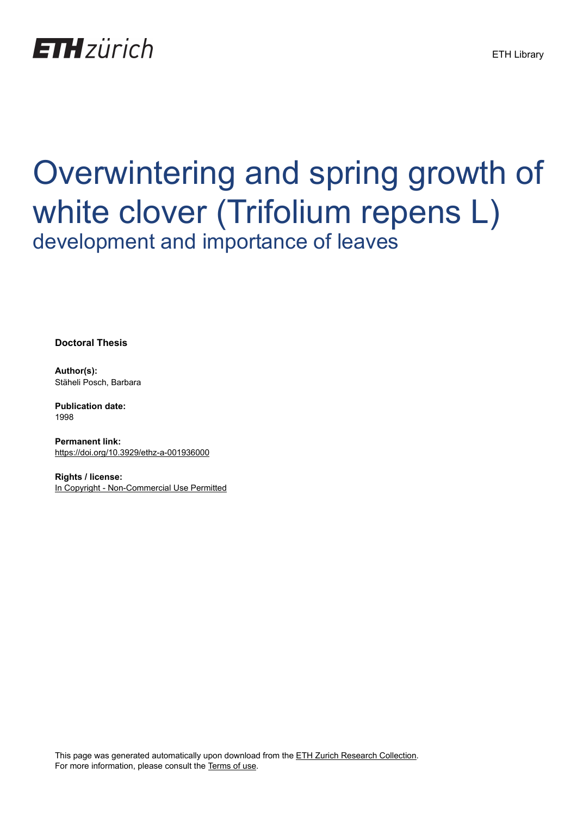

# Overwintering and spring growth of white clover (Trifolium repens L) development and importance of leaves

**Doctoral Thesis**

**Author(s):** Stäheli Posch, Barbara

**Publication date:** 1998

**Permanent link:** <https://doi.org/10.3929/ethz-a-001936000>

**Rights / license:** [In Copyright - Non-Commercial Use Permitted](http://rightsstatements.org/page/InC-NC/1.0/)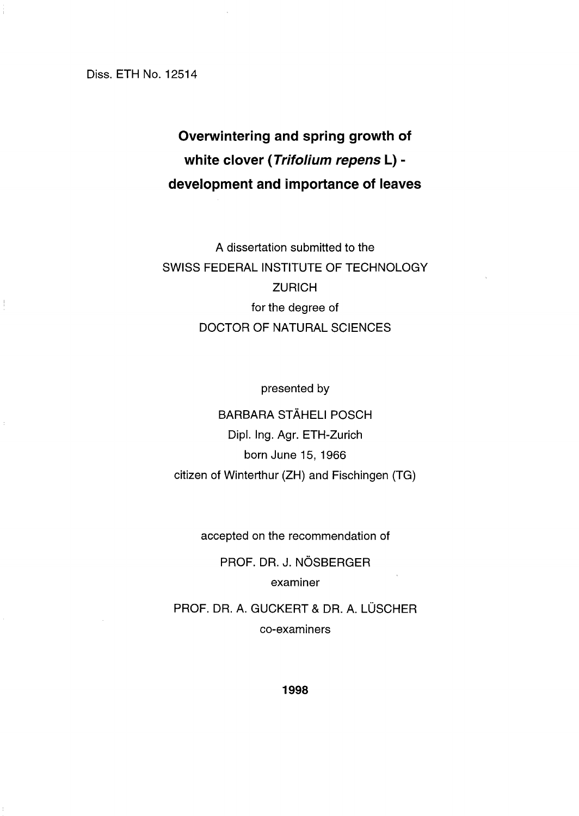Diss. ETH No. 12514

# **Overwintering and spring growth of white clover (Trifolium repens L) development and importance of leaves**

A dissertation submitted to the SWISS FEDERAL INSTITUTE OF TECHNOLOGY **ZURICH** for the degree of DOCTOR OF NATURAL SCIENCES

presented by

BARBARA STÄHELI POSCH Dipl, Ing. Agr. ETH-Zurich born June 15, 1966 citizen of Winterthur (ZH) and Fischingen (TG)

accepted on the recommendation of

PROF. DA. J. NÖSBERGER examiner

PROF. DR. A. GUCKERT & DR. A. LÜSCHER co-examiners

**1998**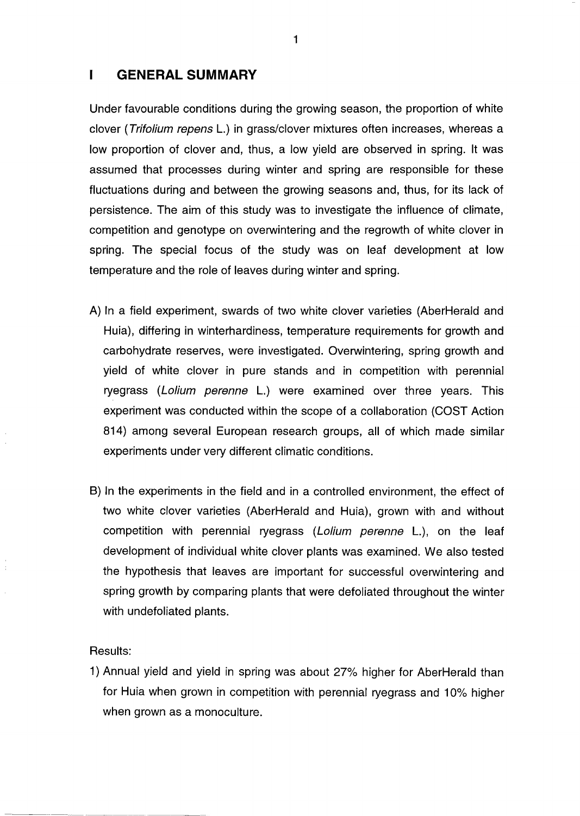#### $\mathbf{I}$ **GENERAL SUMMARY**

Under favourable conditions during the growing season, the proportion of white clover (Trifolium repens L.) in grass/clover mixtures often increases, whereas a low proportion of clover and, thus, a low yield are observed in spring. It was assumed that processes during winter and spring are responsible for these fluctuations during and between the growing seasons and, thus, for its lack of persistence. The aim of this study was to investigate the influence of climate, competition and genotype on overwintering and the regrowth of white clover in spring. The special focus of the study was on leaf development at low temperature and the role of leaves during winter and spring.

- A) In a field experiment, swards of two white clover varieties (AberHeraid and Huia), differing in winterhardiness, temperature requirements for growth and carbohydrate reserves, were investigated. Overwintering, spring growth and yield of white clover in pure stands and in competition with perennial ryegrass (Lolium perenne L.) were examined over three years. This experiment was conducted within the scope of a collaboration (COST Action 814) among several European research groups, all of which made similar experiments under very different climatic conditions.
- B) In the experiments in the field and in a controlled environment, the effect of two white clover varieties (AberHeraid and Huia), grown with and without competition with perennial ryegrass (Lolium perenne L.), on the leaf development of individual white clover plants was examined. We also tested the hypothesis that leaves are important for successful overwintering and spring growth by comparing plants that were defoliated throughout the winter with undefoliated plants.

### Results:

 $\ddot{\phantom{a}}$ 

-----------------------

1) Annual yield and yield in spring was about 27% higher for AberHerald than for Huia when grown in competition with perennial ryegrass and 10% higher when grown as a monoculture.

1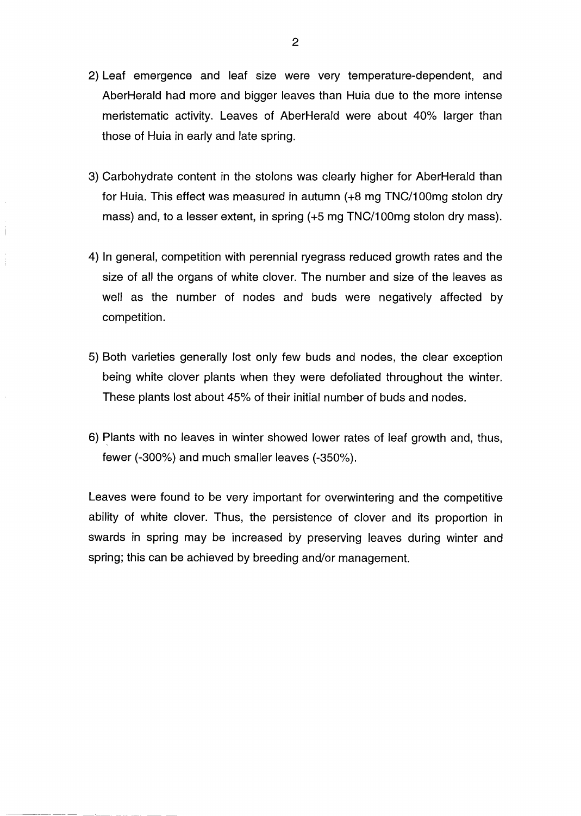- 2) Leaf emergence and leaf size were very temperature-dependent, and AberHerald had more and bigger leaves than Huia due to the more intense meristematic activity. Leaves of AberHerald were about 40% larger than those of Huia in early and late spring.
- 3) Carbohydrate content in the stolons was clearly higher for AberHerald than for Huia. This effect was measured in autumn (+8 mg TNC/100mg stolon dry mass) and, to a lesser extent, in spring (+5 mg TNC/1OOmg stolon dry mass).

Ť

- 4) In general, competition with perennial ryegrass reduced growth rates and the size of all the organs of white clover. The number and size of the leaves as weil as the number of nodes and buds were negatively affected by competition.
- 5) Both varieties generally lost only few buds and nodes, the clear exception being white clover plants when they were defoliated throughout the winter. These plants lost about 45% of their initial number of buds and nodes.
- 6) Plants with no leaves in winter showed lower rates of leaf growth and, thus, fewer (-300%) and much smaller leaves (-350%).

Leaves were found to be very important for overwintering and the competitive ability of white clover. Thus, the persistence of clover and its proportion in swards in spring may be increased by preserving leaves during winter and spring; this can be achieved by breeding and/or management.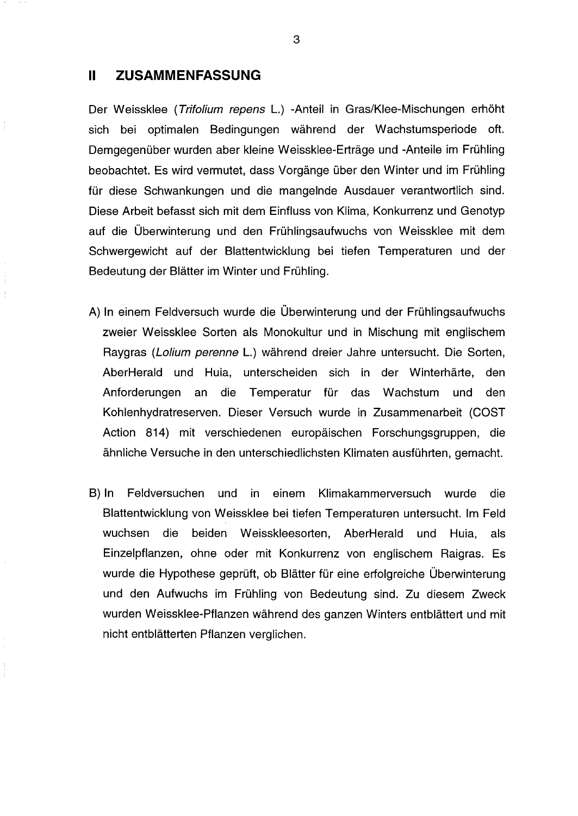## **<sup>11</sup> ZUSAMMENFASSUNG**

Der Weissklee (Trifolium repens L.) -Anteil in Gras/Klee-Mischungen erhöht sich bei optimalen Bedingungen während der Wachstumsperiode oft. Demgegenüber wurden aber kleine Weissklee-Erträge und -Anteile im Frühling beobachtet. Es wird vermutet, dass Vorgänge über den Winter und im Frühling für diese Schwankungen und die mangelnde Ausdauer verantwortlich sind. Diese Arbeit befasst sich mit dem Einfluss von Klima, Konkurrenz und Genotyp auf die Überwinterung und den Frühlingsaufwuchs von Weissklee mit dem Schwergewicht auf der Blattentwicklung bei tiefen Temperaturen und der Bedeutung der Blätter im Winter und Frühling.

- A) In einem Feldversuch wurde die Überwinterung und der Frühlingsaufwuchs zweier Weissklee Sorten als Monokultur und in Mischung mit englischem Raygras (Lolium perenne L.) während dreier Jahre untersucht. Die Sorten, AberHerald und Huia, unterscheiden sich in der Winterhärte, den Anforderungen an die Temperatur für das Wachstum und den Kohlenhydratreserven. Dieser Versuch wurde in Zusammenarbeit (COST Action 814) mit verschiedenen europäischen Forschungsgruppen, die ähnliche Versuche in den unterschiedlichsten Klimaten ausführten, gemacht.
- B) In Feldversuchen und in einem Klimakammerversuch wurde die Blattentwicklung von Weissklee bei tiefen Temperaturen untersucht. Im Feld wuchsen die beiden Weisskleesorten, AberHerald und Huia, als Einzelpflanzen, ohne oder mit Konkurrenz von englischem Raigras. Es wurde die Hypothese geprüft, ob Blätter für eine erfolgreiche Überwinterung und den Aufwuchs im Frühling von Bedeutung sind. Zu diesem Zweck wurden Weissklee-Pflanzen während des ganzen Winters entblättert und mit nicht entblätterten Pflanzen verglichen.